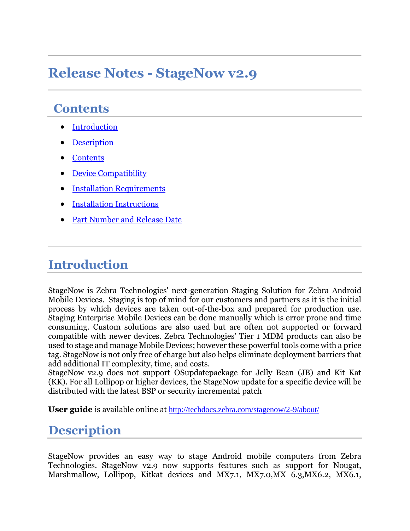# **Release Notes - StageNow v2.9**

#### **Contents**

- [Introduction](#page-0-0)
- **[Description](#page-0-1)**
- **[Contents](#page-1-0)**
- [Device Compatibility](#page-2-0)
- [Installation Requirements](#page-2-1)
- [Installation Instructions](#page-2-2)
- Part Number and Release Date

#### <span id="page-0-0"></span>**Introduction**

StageNow is Zebra Technologies' next-generation Staging Solution for Zebra Android Mobile Devices. Staging is top of mind for our customers and partners as it is the initial process by which devices are taken out-of-the-box and prepared for production use. Staging Enterprise Mobile Devices can be done manually which is error prone and time consuming. Custom solutions are also used but are often not supported or forward compatible with newer devices. Zebra Technologies' Tier 1 MDM products can also be used to stage and manage Mobile Devices; however these powerful tools come with a price tag. StageNow is not only free of charge but also helps eliminate deployment barriers that add additional IT complexity, time, and costs.

StageNow v2.9 does not support OSupdatepackage for Jelly Bean (JB) and Kit Kat (KK). For all Lollipop or higher devices, the StageNow update for a specific device will be distributed with the latest BSP or security incremental patch

<span id="page-0-1"></span>**User guide** is available online at <http://techdocs.zebra.com/stagenow/2-9/about/>

#### **Description**

StageNow provides an easy way to stage Android mobile computers from Zebra Technologies. StageNow v2.9 now supports features such as support for Nougat, Marshmallow, Lollipop, Kitkat devices and MX7.1, MX7.0, MX 6.3, MX6.2, MX6.1,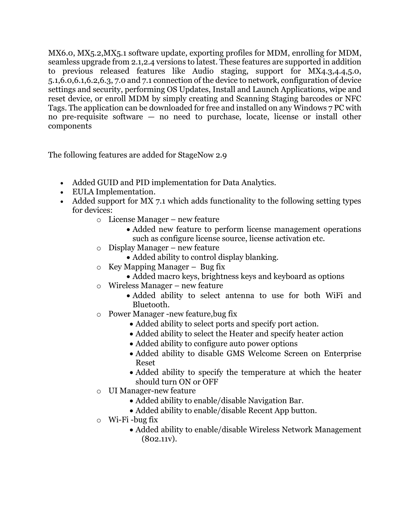MX6.0, MX5.2,MX5.1 software update, exporting profiles for MDM, enrolling for MDM, seamless upgrade from 2.1,2.4 versions to latest. These features are supported in addition to previous released features like Audio staging, support for MX4.3,4.4,5.0, 5.1,6.0,6.1,6.2,6.3, 7.0 and 7.1 connection of the device to network, configuration of device settings and security, performing OS Updates, Install and Launch Applications, wipe and reset device, or enroll MDM by simply creating and Scanning Staging barcodes or NFC Tags. The application can be downloaded for free and installed on any Windows 7 PC with no pre-requisite software — no need to purchase, locate, license or install other components

<span id="page-1-0"></span>The following features are added for StageNow 2.9

- Added GUID and PID implementation for Data Analytics.
- EULA Implementation.
- Added support for MX 7.1 which adds functionality to the following setting types for devices:
	- o License Manager new feature
		- Added new feature to perform license management operations such as configure license source, license activation etc.
	- o Display Manager new feature
		- Added ability to control display blanking.
	- $\circ$  Key Mapping Manager Bug fix
		- Added macro keys, brightness keys and keyboard as options
	- o Wireless Manager new feature
		- Added ability to select antenna to use for both WiFi and Bluetooth.
	- o Power Manager -new feature,bug fix
		- Added ability to select ports and specify port action.
		- Added ability to select the Heater and specify heater action
		- Added ability to configure auto power options
		- Added ability to disable GMS Welcome Screen on Enterprise Reset
		- Added ability to specify the temperature at which the heater should turn ON or OFF
	- o UI Manager-new feature
		- Added ability to enable/disable Navigation Bar.
		- Added ability to enable/disable Recent App button.
	- $\circ$  Wi-Fi-bug fix
		- Added ability to enable/disable Wireless Network Management (802.11v).